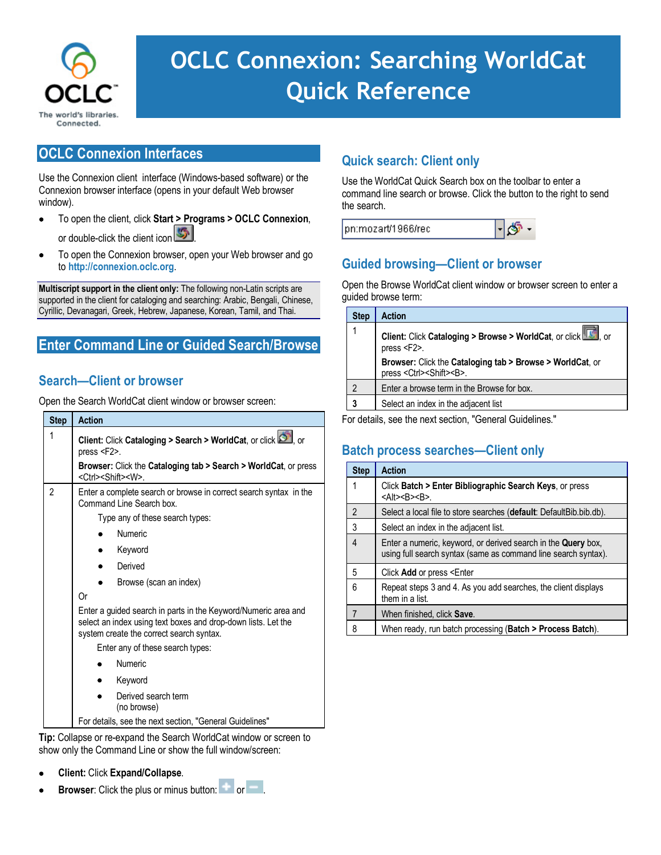

# **Quick search entry: Client only OCLC Connexion: Searching WorldCat** command line search or browse instead of opening the Search or browse instead of opening the Search or browse **Quick Reference**

# **OCLC Connexion Interfaces**

Use the Connexion client interface (Windows-based software) or the Connexion browser interface (opens in your default Web browser window).

- To open the client, click **Start > Programs > OCLC Connexion**, or double-click the client icon
- To open the Connexion browser, open your Web browser and go to **[http://connexion.oclc.org](http://connexion.oclc.org/)**.

**Multiscript support in the client only:** The following non-Latin scripts are supported in the client for cataloging and searching: Arabic, Bengali, Chinese, Cyrillic, Devanagari, Greek, Hebrew, Japanese, Korean, Tamil, and Thai.

## **Enter Command Line or Guided Search/Browse**

### **Search—Client or browser**

Open the Search WorldCat client window or browser screen:

| <b>Step</b>    | <b>Action</b>                                                                                                                                                               |  |  |  |  |  |
|----------------|-----------------------------------------------------------------------------------------------------------------------------------------------------------------------------|--|--|--|--|--|
| 1              | Client: Click Cataloging > Search > WorldCat, or click of or<br>press $<$ F2 $>$ .                                                                                          |  |  |  |  |  |
|                | <b>Browser:</b> Click the Cataloging tab > Search > WorldCat, or press<br><ctrl><shift><w></w></shift></ctrl>                                                               |  |  |  |  |  |
| $\mathfrak{p}$ | Enter a complete search or browse in correct search syntax in the<br>Command Line Search box.                                                                               |  |  |  |  |  |
|                | Type any of these search types:                                                                                                                                             |  |  |  |  |  |
|                | Numeric                                                                                                                                                                     |  |  |  |  |  |
|                | Keyword                                                                                                                                                                     |  |  |  |  |  |
|                | Derived                                                                                                                                                                     |  |  |  |  |  |
|                | Browse (scan an index)                                                                                                                                                      |  |  |  |  |  |
|                | 0r                                                                                                                                                                          |  |  |  |  |  |
|                | Enter a guided search in parts in the Keyword/Numeric area and<br>select an index using text boxes and drop-down lists. Let the<br>system create the correct search syntax. |  |  |  |  |  |
|                | Enter any of these search types:                                                                                                                                            |  |  |  |  |  |
|                | <b>Numeric</b>                                                                                                                                                              |  |  |  |  |  |
|                | Keyword                                                                                                                                                                     |  |  |  |  |  |
|                | Derived search term<br>(no browse)                                                                                                                                          |  |  |  |  |  |
|                | For details, see the next section, "General Guidelines"                                                                                                                     |  |  |  |  |  |

**Tip:** Collapse or re-expand the Search WorldCat window or screen to show only the Command Line or show the full window/screen:

- **Client:** Click **Expand/Collapse**.
- **Browser:** Click the plus or minus button: or or ...

# **Quick search: Client only**

Use the WorldCat Quick Search box on the toolbar to enter a command line search or browse. Click the button to the right to send the search.

| $\mathbb{H}$ SP<br>pn:mozart/1966/rec |  |  |
|---------------------------------------|--|--|
|---------------------------------------|--|--|

# **Guided browsing—Client or browser**

Open the Browse WorldCat client window or browser screen to enter a guided browse term:

| <b>Step</b>    | <b>Action</b>                                                                                                  |
|----------------|----------------------------------------------------------------------------------------------------------------|
| 1              | Client: Click Cataloging > Browse > WorldCat, or click TC, or<br>press <f2>.</f2>                              |
|                | <b>Browser:</b> Click the Cataloging tab > Browse > WorldCat, or<br>press <ctrl><shift><b>.</b></shift></ctrl> |
| $\mathfrak{p}$ | Enter a browse term in the Browse for box.                                                                     |
| 3              | Select an index in the adjacent list                                                                           |

For details, see the next section, "General Guidelines."

# **Batch process searches—Client only**

| <b>Step</b>    | <b>Action</b>                                                                                                                   |
|----------------|---------------------------------------------------------------------------------------------------------------------------------|
| 1              | Click Batch > Enter Bibliographic Search Keys, or press<br>$<$ Alt> <b><b>.</b></b>                                             |
| $\overline{2}$ | Select a local file to store searches (default: DefaultBib.bib.db).                                                             |
| 3              | Select an index in the adjacent list.                                                                                           |
| $\overline{4}$ | Enter a numeric, keyword, or derived search in the Query box,<br>using full search syntax (same as command line search syntax). |
| 5              | Click Add or press <enter< td=""></enter<>                                                                                      |
| 6              | Repeat steps 3 and 4. As you add searches, the client displays<br>them in a list.                                               |
| $\overline{7}$ | When finished, click <b>Save</b> .                                                                                              |
| 8              | When ready, run batch processing (Batch > Process Batch).                                                                       |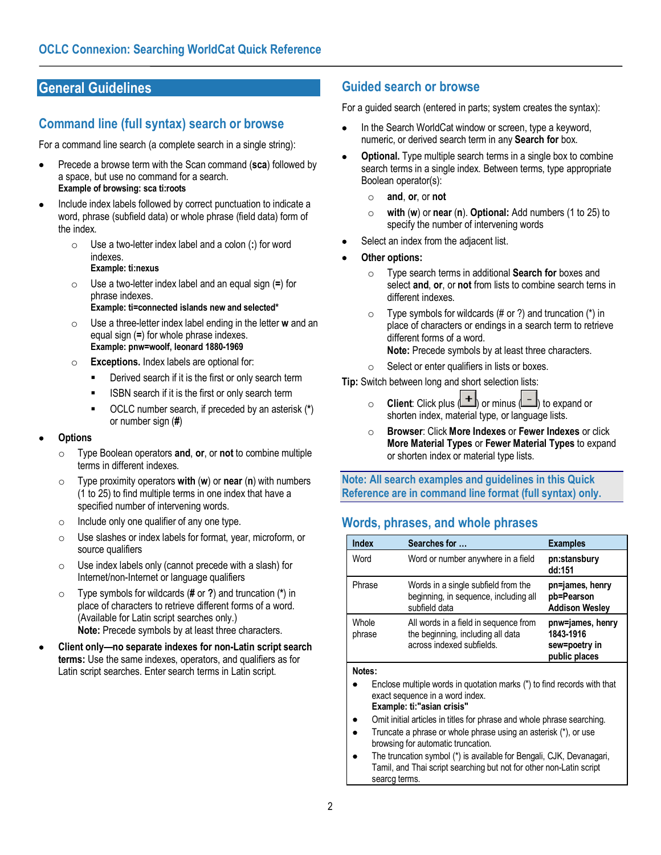# **General Guidelines**

### **Command line (full syntax) search or browse**

For a command line search (a complete search in a single string):

- Precede a browse term with the Scan command (**sca**) followed by a space, but use no command for a search. **Example of browsing: sca ti:roots**
- Include index labels followed by correct punctuation to indicate a word, phrase (subfield data) or whole phrase (field data) form of the index.
	- o Use a two-letter index label and a colon (**:**) for word indexes. **Example: ti:nexus**
	- o Use a two-letter index label and an equal sign (**=**) for phrase indexes. **Example: ti=connected islands new and selected\***
	- o Use a three-letter index label ending in the letter **w** and an equal sign (**=**) for whole phrase indexes. **Example: pnw=woolf, leonard 1880-1969**
	- o **Exceptions.** Index labels are optional for:
		- Derived search if it is the first or only search term
		- **ISBN** search if it is the first or only search term
		- OCLC number search, if preceded by an asterisk (**\***) or number sign (**#**)

#### • **Options**

- o Type Boolean operators **and**, **or**, or **not** to combine multiple terms in different indexes.
- o Type proximity operators **with** (**w**) or **near** (**n**) with numbers (1 to 25) to find multiple terms in one index that have a specified number of intervening words.
- o Include only one qualifier of any one type.
- o Use slashes or index labels for format, year, microform, or source qualifiers
- $\circ$  Use index labels only (cannot precede with a slash) for Internet/non-Internet or language qualifiers
- o Type symbols for wildcards (**#** or **?**) and truncation (**\***) in place of characters to retrieve different forms of a word. (Available for Latin script searches only.) **Note:** Precede symbols by at least three characters.
- **Client only—no separate indexes for non-Latin script search terms:** Use the same indexes, operators, and qualifiers as for Latin script searches. Enter search terms in Latin script.

### **Guided search or browse**

For a guided search (entered in parts; system creates the syntax):

- In the Search WorldCat window or screen, type a keyword, numeric, or derived search term in any **Search for** box.
- **Optional.** Type multiple search terms in a single box to combine search terms in a single index. Between terms, type appropriate Boolean operator(s):
	- o **and**, **or**, or **not**
	- o **with** (**w**) or **near** (**n**). **Optional:** Add numbers (1 to 25) to specify the number of intervening words
- Select an index from the adjacent list.
- **Other options:**
	- o Type search terms in additional **Search for** boxes and select **and**, **or**, or **not** from lists to combine search terns in different indexes.
	- $\circ$  Type symbols for wildcards (# or ?) and truncation (\*) in place of characters or endings in a search term to retrieve different forms of a word. **Note:** Precede symbols by at least three characters.
	- o Select or enter qualifiers in lists or boxes.

**Tip:** Switch between long and short selection lists:

- **Client**: Click plus  $\left( \frac{+}{+} \right)$  or minus  $\left( \frac{-}{-} \right)$  to expand or shorten index, material type, or language lists.
- o **Browser**: Click **More Indexes** or **Fewer Indexes** or click **More Material Types** or **Fewer Material Types** to expand or shorten index or material type lists.

**Note: All search examples and guidelines in this Quick Reference are in command line format (full syntax) only.**

# **Words, phrases, and whole phrases**

| <b>Index</b>    | Searches for                                                                                            | <b>Examples</b>                                                 |
|-----------------|---------------------------------------------------------------------------------------------------------|-----------------------------------------------------------------|
| Word            | Word or number anywhere in a field                                                                      | pn:stansbury<br>dd:151                                          |
| Phrase          | Words in a single subfield from the<br>beginning, in sequence, including all<br>subfield data           | pn=james, henry<br>pb=Pearson<br><b>Addison Wesley</b>          |
| Whole<br>phrase | All words in a field in sequence from<br>the beginning, including all data<br>across indexed subfields. | pnw=james, henry<br>1843-1916<br>sew=poetry in<br>public places |

#### **Notes:**

- Enclose multiple words in quotation marks (") to find records with that exact sequence in a word index. **Example: ti:"asian crisis"**
- Omit initial articles in titles for phrase and whole phrase searching.
- Truncate a phrase or whole phrase using an asterisk (\*), or use browsing for automatic truncation.
- The truncation symbol (\*) is available for Bengali, CJK, Devanagari, Tamil, and Thai script searching but not for other non-Latin script searcg terms.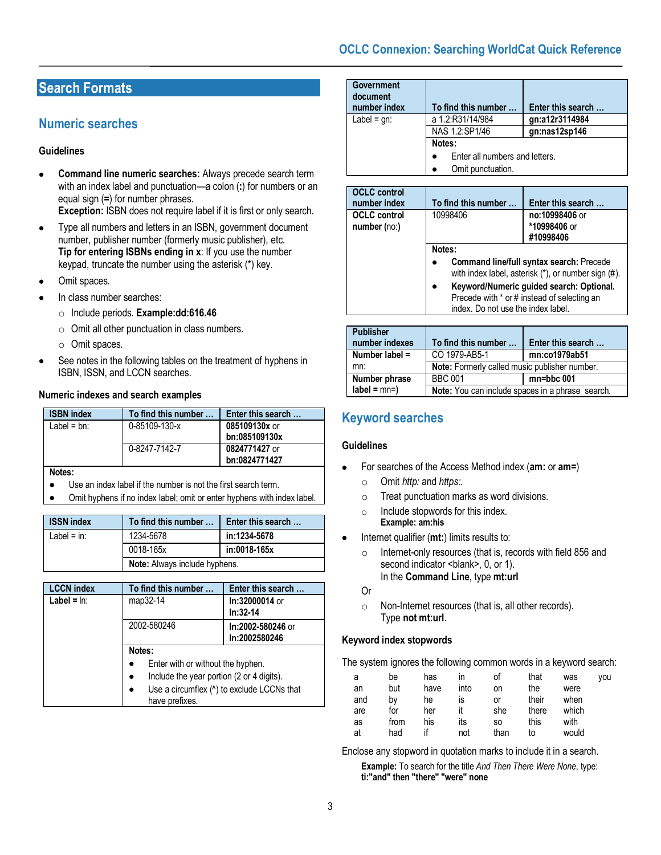### **OCLC Connexion: Searching WorldCat Quick Reference**

# **Search Formats**

### **Numeric searches**

#### **Guidelines**

• **Command line numeric searches:** Always precede search term with an index label and punctuation—a colon (**:**) for numbers or an equal sign (**=**) for number phrases.

**Exception:** ISBN does not require label if it is first or only search.

- Type all numbers and letters in an ISBN, government document number, publisher number (formerly music publisher), etc. **Tip for entering ISBNs ending in x**: If you use the number keypad, truncate the number using the asterisk (\*) key.
- Omit spaces.
- In class number searches:
	- o Include periods. **Example:dd:616.46**
	- o Omit all other punctuation in class numbers.
	- o Omit spaces.
- See notes in the following tables on the treatment of hyphens in ISBN, ISSN, and LCCN searches.

#### **Numeric indexes and search examples**

| <b>ISBN</b> index | To find this number | Enter this search |
|-------------------|---------------------|-------------------|
| Label = $bn$ :    | 0-85109-130-x       | 085109130x or     |
|                   |                     | bn:085109130x     |
|                   | 0-8247-7142-7       | 0824771427 or     |
|                   |                     | bn:0824771427     |

**Notes:**

- Use an index label if the number is not the first search term.
- Omit hyphens if no index label; omit or enter hyphens with index label.

| <b>ISSN index</b> | To find this number                  | Enter this search |  |
|-------------------|--------------------------------------|-------------------|--|
| Label = $in:$     | 1234-5678<br>in:1234-5678            |                   |  |
|                   | 0018-165x                            | in:0018-165x      |  |
|                   | <b>Note:</b> Always include hyphens. |                   |  |

| <b>LCCN index</b> | To find this number                                          | Enter this search                  |  |
|-------------------|--------------------------------------------------------------|------------------------------------|--|
| Label = $ln:$     | map32-14                                                     | In:32000014 or<br>$In:32-14$       |  |
|                   | 2002-580246                                                  | In:2002-580246 or<br>In:2002580246 |  |
|                   | Notes:                                                       |                                    |  |
|                   | Enter with or without the hyphen.                            |                                    |  |
|                   | Include the year portion (2 or 4 digits).                    |                                    |  |
|                   | Use a circumflex (^) to exclude LCCNs that<br>have prefixes. |                                    |  |

| <b>Government</b><br>document<br>number index | To find this number                                 | Enter this search |  |
|-----------------------------------------------|-----------------------------------------------------|-------------------|--|
| Label = $gn:$                                 | a 1.2:R31/14/984                                    | gn:a12r3114984    |  |
|                                               | NAS 1.2:SP1/46                                      | gn:nas12sp146     |  |
|                                               | Notes:                                              |                   |  |
|                                               | Enter all numbers and letters.<br>Omit punctuation. |                   |  |
|                                               |                                                     |                   |  |

| <b>OCLC</b> control<br>number index | To find this number                                                                                                           | Enter this search                           |  |
|-------------------------------------|-------------------------------------------------------------------------------------------------------------------------------|---------------------------------------------|--|
| <b>OCLC</b> control<br>number (no:) | 10998406                                                                                                                      | no:10998406 or<br>*10998406 or<br>#10998406 |  |
|                                     | Notes:<br><b>Command line/full syntax search: Precede</b>                                                                     |                                             |  |
|                                     | with index label, asterisk (*), or number sign (#).                                                                           |                                             |  |
|                                     | Keyword/Numeric guided search: Optional.<br>Precede with * or # instead of selecting an<br>index. Do not use the index label. |                                             |  |

| <b>Publisher</b> |                                                         |                   |  |  |
|------------------|---------------------------------------------------------|-------------------|--|--|
| number indexes   | To find this number                                     | Enter this search |  |  |
| Number label =   | CO 1979-AB5-1                                           | mn:co1979ab51     |  |  |
| mn:              | Note: Formerly called music publisher number.           |                   |  |  |
| Number phrase    | <b>BBC 001</b><br>$mn = bbc$ 001                        |                   |  |  |
| $label = mn=$    | <b>Note:</b> You can include spaces in a phrase search. |                   |  |  |

## **Keyword searches**

#### **Guidelines**

- For searches of the Access Method index (**am:** or **am=**)
	- o Omit *http:* and *https:*.
	- o Treat punctuation marks as word divisions.
	- o Include stopwords for this index. **Example: am:his**
- Internet qualifier (**mt:**) limits results to:
	- o Internet-only resources (that is, records with field 856 and second indicator <br/>blank>, 0, or 1). In the **Command Line**, type **mt:url**
	- Or
	- o Non-Internet resources (that is, all other records). Type **not mt:url**.

#### **Keyword index stopwords**

The system ignores the following common words in a keyword search:

| а<br>an | be<br>but | has<br>have | ın<br>into | οf<br>on | that<br>the | was<br>were | vou |
|---------|-----------|-------------|------------|----------|-------------|-------------|-----|
| and     | b٧        | he          | IS         | Οľ       | their       | when        |     |
| are     | for       | her         | it         | she      | there       | which       |     |
| as      | from      | his         | its        | SO.      | this        | with        |     |
| at      | had       |             | not        | than     | to          | would       |     |

Enclose any stopword in quotation marks to include it in a search.

**Example:** To search for the title *And Then There Were None*, type: **ti:"and" then "there" "were" none**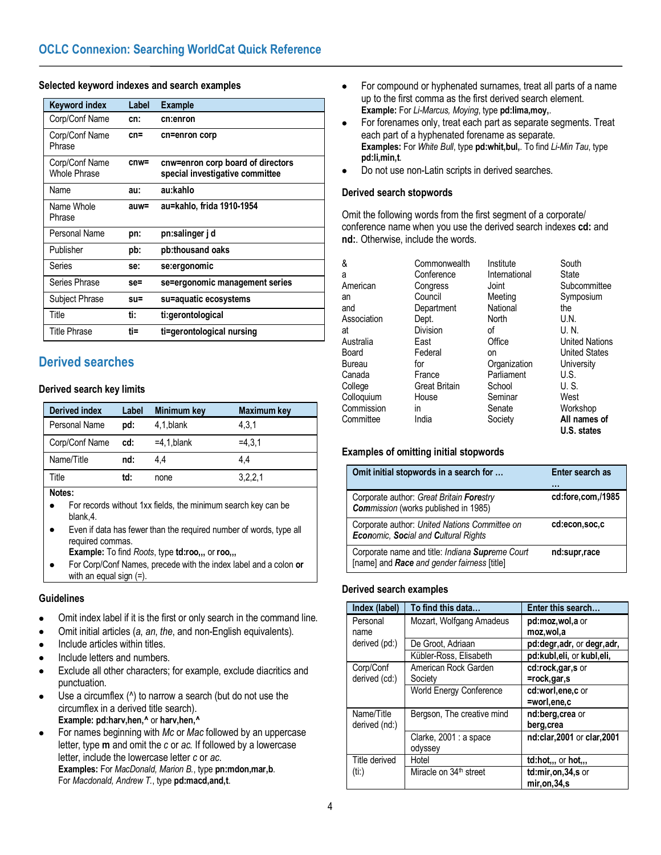#### **Selected keyword indexes and search examples**

| <b>Keyword index</b>           | Label   | <b>Example</b>                                                       |
|--------------------------------|---------|----------------------------------------------------------------------|
| Corp/Conf Name                 | cn:     | cn:enron                                                             |
| Corp/Conf Name<br>Phrase       | $cn =$  | cn=enron corp                                                        |
| Corp/Conf Name<br>Whole Phrase | cnw=    | cnw=enron corp board of directors<br>special investigative committee |
| Name                           | au:     | au:kahlo                                                             |
| Name Whole<br>Phrase           | $auw =$ | au=kahlo, frida 1910-1954                                            |
| Personal Name                  | pn:     | pn:salinger j d                                                      |
| Publisher                      | pb:     | pb:thousand oaks                                                     |
| Series                         | se:     | se:ergonomic                                                         |
| Series Phrase                  | $se =$  | se=ergonomic management series                                       |
| Subject Phrase                 | $su =$  | su=aquatic ecosystems                                                |
| Title                          | ti:     | ti:gerontological                                                    |
| <b>Title Phrase</b>            | ti=     | ti=gerontological nursing                                            |

### **Derived searches**

#### **Derived search key limits**

| <b>Derived index</b> | Label | Minimum key    | Maximum key |
|----------------------|-------|----------------|-------------|
| Personal Name        | pd:   | 4.1, blank     | 4.3.1       |
| Corp/Conf Name       | cd:   | $=4.1$ , blank | $=4.3.1$    |
| Name/Title           | nd:   | 44             | 4.4         |
| Title                | td:   | none           | 3,2,2,1     |

#### **Notes:**

- For records without 1xx fields, the minimum search key can be blank,4.
- Even if data has fewer than the required number of words, type all required commas.
- **Example:** To find *Roots*, type **td:roo,,,** or **roo,,,**
- For Corp/Conf Names, precede with the index label and a colon **or** with an equal sign (=).

#### **Guidelines**

- Omit index label if it is the first or only search in the command line.
- Omit initial articles (*a*, *an*, *the*, and non-English equivalents).
- Include articles within titles.
- Include letters and numbers.
- Exclude all other characters; for example, exclude diacritics and punctuation.
- Use a circumflex ( $\land$ ) to narrow a search (but do not use the circumflex in a derived title search). **Example: pd:harv,hen,^** or **harv,hen,^**
- For names beginning with *Mc* or *Mac* followed by an uppercase letter, type **m** and omit the *c* or *ac.* If followed by a lowercase letter, include the lowercase letter *c* or *ac*. **Examples:** For *MacDonald, Marion B.*, type **pn:mdon,mar,b**. For *Macdonald, Andrew T.*, type **pd:macd,and,t**.
- For compound or hyphenated surnames, treat all parts of a name up to the first comma as the first derived search element. **Example:** For *Li-Marcus, Moying*, type **pd:lima,moy,**.
- For forenames only, treat each part as separate segments. Treat each part of a hyphenated forename as separate. **Examples:** For *White Bull*, type **pd:whit,bul,**. To find *Li-Min Tau*, type **pd:li,min,t**.
- Do not use non-Latin scripts in derived searches.

#### **Derived search stopwords**

Omit the following words from the first segment of a corporate/ conference name when you use the derived search indexes **cd:** and **nd:**. Otherwise, include the words.

| &           | Commonwealth         | Institute     | South                 |
|-------------|----------------------|---------------|-----------------------|
| a           | Conference           | International | State                 |
| American    | Congress             | Joint         | Subcommittee          |
| an          | Council              | Meeting       | Symposium             |
| and         | Department           | National      | the                   |
| Association | Dept.                | North         | U.N.                  |
| at          | Division             | οf            | U.N.                  |
| Australia   | East                 | Office        | <b>United Nations</b> |
| Board       | Federal              | on            | <b>United States</b>  |
| Bureau      | for                  | Organization  | University            |
| Canada      | France               | Parliament    | U.S.                  |
| College     | <b>Great Britain</b> | School        | U.S.                  |
| Colloquium  | House                | Seminar       | West                  |
| Commission  | in                   | Senate        | Workshop              |
| Committee   | India                | Society       | All names of          |
|             |                      |               | U.S. states           |

#### **Examples of omitting initial stopwords**

| Omit initial stopwords in a search for                                                         | Enter search as   |
|------------------------------------------------------------------------------------------------|-------------------|
| Corporate author: Great Britain Forestry<br>Commission (works published in 1985)               | cd:fore.com./1985 |
| Corporate author: United Nations Committee on<br>Economic, Social and Cultural Rights          | cd:econ,soc,c     |
| Corporate name and title: Indiana Supreme Court<br>[name] and Race and gender fairness [title] | nd:supr,race      |

#### **Derived search examples**

| Index (label) | To find this data                  | Enter this search           |
|---------------|------------------------------------|-----------------------------|
| Personal      | Mozart, Wolfgang Amadeus           | pd:moz,wol,a or             |
| name          |                                    | moz, wol, a                 |
| derived (pd:) | De Groot, Adriaan                  | pd:degr, adr, or degr, adr, |
|               | Kübler-Ross, Elisabeth             | pd:kubl,eli, or kubl,eli,   |
| Corp/Conf     | American Rock Garden               | cd:rock,gar,s or            |
| derived (cd:) | Society                            | =rock,gar,s                 |
|               | World Energy Conference            | cd:worl.ene.c or            |
|               |                                    | =worl,ene.c                 |
| Name/Title    | Bergson, The creative mind         | nd:berg, crea or            |
| derived (nd:) |                                    | berg, crea                  |
|               | Clarke, 2001 : a space             | nd:clar, 2001 or clar, 2001 |
|               | odyssey                            |                             |
| Title derived | Hotel                              | $td:hot,.,$ or $hot,.,$     |
| (ii.)         | Miracle on 34 <sup>th</sup> street | $td:mir,on,34,s$ or         |
|               |                                    | mir, on, 34, s              |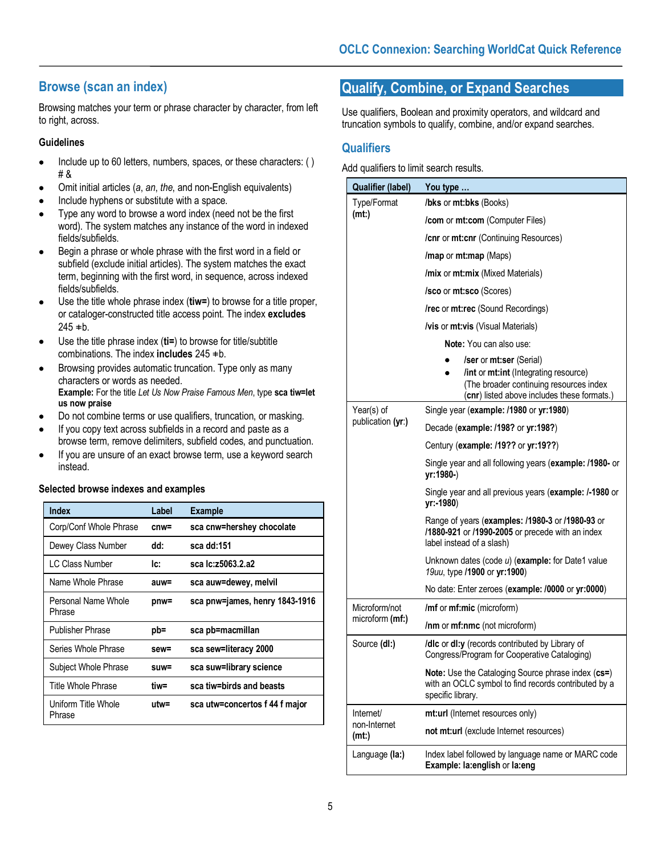# **Browse (scan an index)**

Browsing matches your term or phrase character by character, from left to right, across.

#### **Guidelines**

- Include up to 60 letters, numbers, spaces, or these characters: ( ) # &
- Omit initial articles (*a*, *an*, *the*, and non-English equivalents)
- Include hyphens or substitute with a space.
- Type any word to browse a word index (need not be the first word). The system matches any instance of the word in indexed fields/subfields.
- Begin a phrase or whole phrase with the first word in a field or subfield (exclude initial articles). The system matches the exact term, beginning with the first word, in sequence, across indexed fields/subfields.
- Use the title whole phrase index (**tiw=**) to browse for a title proper, or cataloger-constructed title access point. The index **excludes**  $245$   $\pm b$ .
- Use the title phrase index (**ti=**) to browse for title/subtitle combinations. The index **includes**  $245 \pm b$ .
- Browsing provides automatic truncation. Type only as many characters or words as needed. **Example:** For the title *Let Us Now Praise Famous Men*, type **sca tiw=let us now praise**
- Do not combine terms or use qualifiers, truncation, or masking.
- If you copy text across subfields in a record and paste as a browse term, remove delimiters, subfield codes, and punctuation.
- If you are unsure of an exact browse term, use a keyword search instead.

#### **Selected browse indexes and examples**

| Index                         | Label   | <b>Example</b>                 |
|-------------------------------|---------|--------------------------------|
| Corp/Conf Whole Phrase        | cnw=    | sca cnw=hershey chocolate      |
| Dewey Class Number            | dd:     | sca dd:151                     |
| LC Class Number               | lc:     | sca lc:z5063.2.a2              |
| Name Whole Phrase             | auw=    | sca auw=dewey, melvil          |
| Personal Name Whole<br>Phrase | $pnw =$ | sca pnw=james, henry 1843-1916 |
| <b>Publisher Phrase</b>       | pb=     | sca pb=macmillan               |
| Series Whole Phrase           | sew=    | sca sew=literacy 2000          |
| Subject Whole Phrase          | suw=    | sca suw=library science        |
| Title Whole Phrase            | tiw=    | sca tiw=birds and beasts       |
| Uniform Title Whole<br>Phrase | utw=    | sca utw=concertos f 44 f major |

# **Qualify, Combine, or Expand Searches**

Use qualifiers, Boolean and proximity operators, and wildcard and truncation symbols to qualify, combine, and/or expand searches.

### **Qualifiers**

Add qualifiers to limit search results.

| <b>Qualifier (label)</b>        | You type                                                                                                                                                                 |  |  |  |
|---------------------------------|--------------------------------------------------------------------------------------------------------------------------------------------------------------------------|--|--|--|
| Type/Format                     | /bks or mt:bks (Books)                                                                                                                                                   |  |  |  |
| (mt.)                           | /com or mt:com (Computer Files)                                                                                                                                          |  |  |  |
|                                 | /cnr or mt:cnr (Continuing Resources)                                                                                                                                    |  |  |  |
|                                 | /map or mt:map (Maps)                                                                                                                                                    |  |  |  |
|                                 | /mix or mt:mix (Mixed Materials)                                                                                                                                         |  |  |  |
|                                 | <b>/sco</b> or <b>mt:sco</b> (Scores)                                                                                                                                    |  |  |  |
|                                 | /rec or mt:rec (Sound Recordings)                                                                                                                                        |  |  |  |
|                                 | <b>/vis</b> or <b>mt:vis</b> (Visual Materials)                                                                                                                          |  |  |  |
|                                 | <b>Note:</b> You can also use:                                                                                                                                           |  |  |  |
|                                 | <b>/ser</b> or <b>mt:ser</b> (Serial)<br>/int or mt:int (Integrating resource)<br>(The broader continuing resources index<br>(cnr) listed above includes these formats.) |  |  |  |
| Year(s) of<br>publication (yr:) | Single year (example: /1980 or yr:1980)                                                                                                                                  |  |  |  |
|                                 | Decade (example: /198? or yr:198?)                                                                                                                                       |  |  |  |
|                                 | Century (example: /19?? or yr:19??)                                                                                                                                      |  |  |  |
|                                 | Single year and all following years (example: /1980- or<br>yr:1980-)                                                                                                     |  |  |  |
|                                 | Single year and all previous years (example: /-1980 or<br>yr:-1980)                                                                                                      |  |  |  |
|                                 | Range of years (examples: /1980-3 or /1980-93 or<br>/1880-921 or /1990-2005 or precede with an index<br>label instead of a slash)                                        |  |  |  |
|                                 | Unknown dates (code $u$ ) (example: for Date1 value<br>19uu, type /1900 or yr:1900)                                                                                      |  |  |  |
|                                 | No date: Enter zeroes (example: /0000 or yr:0000)                                                                                                                        |  |  |  |
| Microform/not                   | /mf or mf:mic (microform)                                                                                                                                                |  |  |  |
| microform (mf:)                 | /nm or mf:nmc (not microform)                                                                                                                                            |  |  |  |
| Source (dl:)                    | /dlc or dl:y (records contributed by Library of<br>Congress/Program for Cooperative Cataloging)                                                                          |  |  |  |
|                                 | Note: Use the Cataloging Source phrase index (cs=)<br>with an OCLC symbol to find records contributed by a<br>specific library.                                          |  |  |  |
| Internet/                       | mt:url (Internet resources only)                                                                                                                                         |  |  |  |
| non-Internet<br>(mt.)           | not mt:url (exclude Internet resources)                                                                                                                                  |  |  |  |
| Language (la:)                  | Index label followed by language name or MARC code<br>Example: la:english or la:eng                                                                                      |  |  |  |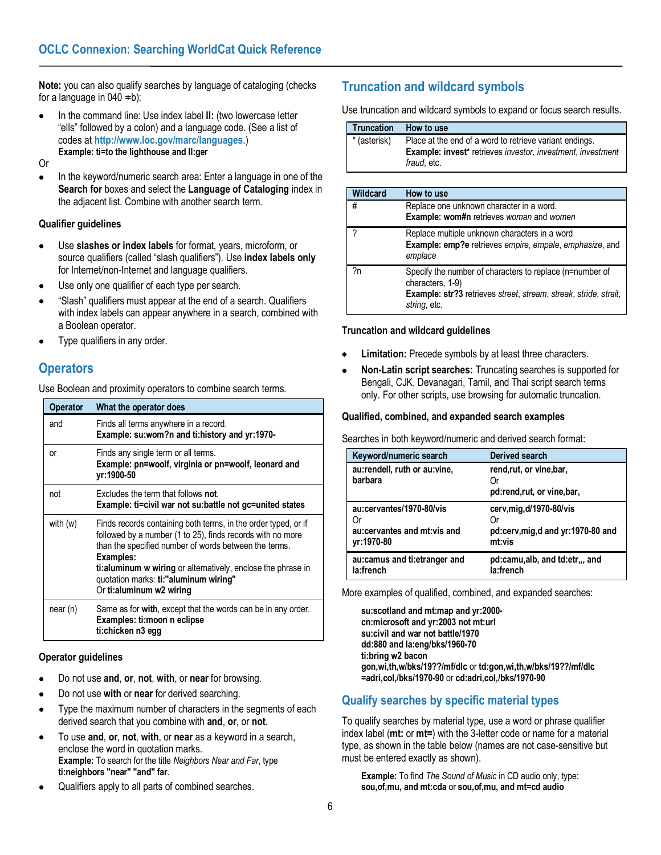**Note:** you can also qualify searches by language of cataloging (checks for a language in  $040 \pm b$ ):

• In the command line: Use index label **ll:** (two lowercase letter "ells" followed by a colon) and a language code. (See a list of codes at **<http://www.loc.gov/marc/languages>**.) **Example: ti=to the lighthouse and ll:ger**

Or

• In the keyword/numeric search area: Enter a language in one of the **Search for** boxes and select the **Language of Cataloging** index in the adjacent list. Combine with another search term.

### **Qualifier guidelines**

- Use **slashes or index labels** for format, years, microform, or source qualifiers (called "slash qualifiers"). Use **index labels only** for Internet/non-Internet and language qualifiers.
- Use only one qualifier of each type per search.
- "Slash" qualifiers must appear at the end of a search. Qualifiers with index labels can appear anywhere in a search, combined with a Boolean operator.
- Type qualifiers in any order.

### **Operators**

Use Boolean and proximity operators to combine search terms.

| <b>Operator</b> | What the operator does                                                                                                                                                                                                                                                                                                                   |
|-----------------|------------------------------------------------------------------------------------------------------------------------------------------------------------------------------------------------------------------------------------------------------------------------------------------------------------------------------------------|
| and             | Finds all terms anywhere in a record.<br>Example: su:wom?n and ti:history and yr:1970-                                                                                                                                                                                                                                                   |
| or              | Finds any single term or all terms.<br>Example: pn=woolf, virginia or pn=woolf, leonard and<br>vr:1900-50                                                                                                                                                                                                                                |
| not             | Excludes the term that follows not<br>Example: ti=civil war not su:battle not gc=united states                                                                                                                                                                                                                                           |
| with $(w)$      | Finds records containing both terms, in the order typed, or if<br>followed by a number (1 to 25), finds records with no more<br>than the specified number of words between the terms.<br>Examples:<br>ti:aluminum w wiring or alternatively, enclose the phrase in<br>quotation marks: ti:"aluminum wiring"<br>Or ti: aluminum w2 wiring |
| near (n)        | Same as for with, except that the words can be in any order.<br>Examples: ti:moon n eclipse<br>ti:chicken n3 egg                                                                                                                                                                                                                         |

### **Operator guidelines**

- Do not use **and**, **or**, **not**, **with**, or **near** for browsing.
- Do not use **with** or **near** for derived searching.
- Type the maximum number of characters in the segments of each derived search that you combine with **and**, **or**, or **not**.
- To use **and**, **or**, **not**, **with**, or **near** as a keyword in a search, enclose the word in quotation marks. **Example:** To search for the title *Neighbors Near and Far*, type **ti:neighbors "near" "and" far**.
- Qualifiers apply to all parts of combined searches.

# **Truncation and wildcard symbols**

Use truncation and wildcard symbols to expand or focus search results.

| <b>Truncation</b> | How to use                                                                                                                                   |
|-------------------|----------------------------------------------------------------------------------------------------------------------------------------------|
| * (asterisk)      | Place at the end of a word to retrieve variant endings.<br><b>Example: invest*</b> retrieves investor, investment, investment<br>fraud. etc. |

| Wildcard | How to use                                                                                                                                                       |
|----------|------------------------------------------------------------------------------------------------------------------------------------------------------------------|
| #        | Replace one unknown character in a word.<br><b>Example: wom#n</b> retrieves woman and women                                                                      |
| 2        | Replace multiple unknown characters in a word<br>Example: emp?e retrieves empire, empale, emphasize, and<br>emplace                                              |
| 2n       | Specify the number of characters to replace (n=number of<br>characters, 1-9)<br>Example: str?3 retrieves street, stream, streak, stride, strait,<br>string, etc. |

#### **Truncation and wildcard guidelines**

- **Limitation:** Precede symbols by at least three characters.
- **Non-Latin script searches:** Truncating searches is supported for Bengali, CJK, Devanagari, Tamil, and Thai script search terms only. For other scripts, use browsing for automatic truncation.

#### **Qualified, combined, and expanded search examples**

Searches in both keyword/numeric and derived search format:

| Keyword/numeric search                                                        | <b>Derived search</b>                                                   |
|-------------------------------------------------------------------------------|-------------------------------------------------------------------------|
| au:rendell, ruth or au:vine,                                                  | rend,rut, or vine,bar,                                                  |
| barbara                                                                       | pd:rend,rut, or vine,bar,                                               |
| au:cervantes/1970-80/vis<br>( )r<br>au:cervantes and mt:vis and<br>vr:1970-80 | cerv,mig,d/1970-80/vis<br>pd:cerv, mig, d and yr: 1970-80 and<br>mt:vis |
| au:camus and ti:etranger and                                                  | pd:camu,alb, and td:etr,,, and                                          |
| la:french                                                                     | la:french                                                               |

More examples of qualified, combined, and expanded searches:

**su:scotland and mt:map and yr:2000 cn:microsoft and yr:2003 not mt:url su:civil and war not battle/1970 dd:880 and la:eng/bks/1960-70 ti:bring w2 bacon gon,wi,th,w/bks/19??/mf/dlc** or **td:gon,wi,th,w/bks/19??/mf/dlc =adri,col,/bks/1970-90** or **cd:adri,col,/bks/1970-90**

### **Qualify searches by specific material types**

To qualify searches by material type, use a word or phrase qualifier index label (**mt:** or **mt=**) with the 3-letter code or name for a material type, as shown in the table below (names are not case-sensitive but must be entered exactly as shown).

**Example:** To find *The Sound of Music* in CD audio only, type: **sou,of,mu, and mt:cda** or **sou,of,mu, and mt=cd audio**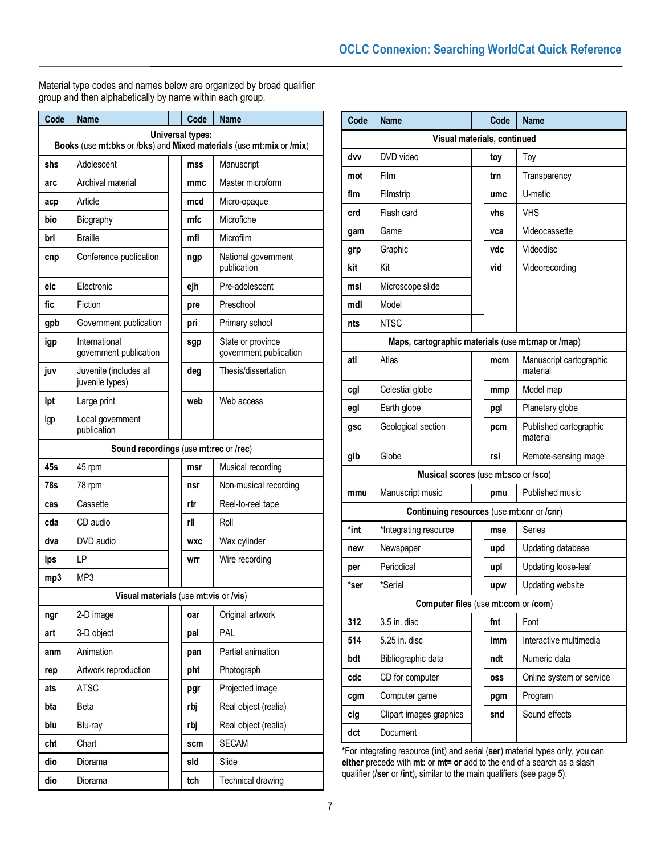Material type codes and names below are organized by broad qualifier group and then alphabetically by name within each group.

| Code                                                                                           | <b>Name</b>                               |  | Code       | <b>Name</b>                                 |
|------------------------------------------------------------------------------------------------|-------------------------------------------|--|------------|---------------------------------------------|
| <b>Universal types:</b><br>Books (use mt:bks or /bks) and Mixed materials (use mt:mix or /mix) |                                           |  |            |                                             |
| shs                                                                                            | Adolescent                                |  | mss        | Manuscript                                  |
| arc                                                                                            | Archival material                         |  | mmc        | Master microform                            |
| acp                                                                                            | Article                                   |  | mcd        | Micro-opaque                                |
| bio                                                                                            | Biography                                 |  | mfc        | Microfiche                                  |
| brl                                                                                            | <b>Braille</b>                            |  | mfl        | Microfilm                                   |
| cnp                                                                                            | Conference publication                    |  | ngp        | National government<br>publication          |
| elc                                                                                            | Electronic                                |  | ejh        | Pre-adolescent                              |
| fic                                                                                            | Fiction                                   |  | pre        | Preschool                                   |
| gpb                                                                                            | Government publication                    |  | pri        | Primary school                              |
| igp                                                                                            | International<br>government publication   |  | sgp        | State or province<br>government publication |
| juv                                                                                            | Juvenile (includes all<br>juvenile types) |  | deg        | Thesis/dissertation                         |
| lpt                                                                                            | Large print                               |  | web        | Web access                                  |
| lgp                                                                                            | Local government<br>publication           |  |            |                                             |
|                                                                                                | Sound recordings (use mt:rec or /rec)     |  |            |                                             |
| 45s                                                                                            | 45 rpm                                    |  | msr        | Musical recording                           |
| 78s                                                                                            | 78 rpm                                    |  | nsr        | Non-musical recording                       |
| cas                                                                                            | Cassette                                  |  | rtr        | Reel-to-reel tape                           |
| cda                                                                                            | CD audio                                  |  | rll        | Roll                                        |
| dva                                                                                            | DVD audio                                 |  | <b>WXC</b> | Wax cylinder                                |
| <b>lps</b>                                                                                     | LP                                        |  | wrr        | Wire recording                              |
| mp3                                                                                            | MP3                                       |  |            |                                             |
|                                                                                                | Visual materials (use mt:vis or /vis)     |  |            |                                             |
| ngr                                                                                            | 2-D image                                 |  | oar        | Original artwork                            |
| art                                                                                            | 3-D object                                |  | pal        | <b>PAL</b>                                  |
| anm                                                                                            | Animation                                 |  | pan        | Partial animation                           |
| rep                                                                                            | Artwork reproduction                      |  | pht        | Photograph                                  |
| ats                                                                                            | <b>ATSC</b>                               |  | pgr        | Projected image                             |
| bta                                                                                            | Beta                                      |  | rbj        | Real object (realia)                        |
| blu                                                                                            | Blu-ray                                   |  | rbj        | Real object (realia)                        |
| cht                                                                                            | Chart                                     |  | scm        | <b>SECAM</b>                                |
| dio                                                                                            | Diorama                                   |  | sld        | Slide                                       |
| dio                                                                                            | Diorama                                   |  | tch        | Technical drawing                           |

| Code                                              | <b>Name</b>             |  | Code       | <b>Name</b>                         |
|---------------------------------------------------|-------------------------|--|------------|-------------------------------------|
| Visual materials, continued                       |                         |  |            |                                     |
| dvv                                               | DVD video               |  | toy        | Toy                                 |
| mot                                               | Film                    |  | trn        | Transparency                        |
| flm                                               | Filmstrip               |  | umc        | U-matic                             |
| crd                                               | Flash card              |  | vhs        | <b>VHS</b>                          |
| gam                                               | Game                    |  | vca        | Videocassette                       |
| grp                                               | Graphic                 |  | vdc        | Videodisc                           |
| kit                                               | Kit                     |  | vid        | Videorecording                      |
| msl                                               | Microscope slide        |  |            |                                     |
| mdl                                               | Model                   |  |            |                                     |
| nts                                               | <b>NTSC</b>             |  |            |                                     |
| Maps, cartographic materials (use mt:map or /map) |                         |  |            |                                     |
| atl                                               | Atlas                   |  | mcm        | Manuscript cartographic<br>material |
| cgl                                               | Celestial globe         |  | mmp        | Model map                           |
| egl                                               | Earth globe             |  | pgl        | Planetary globe                     |
| gsc                                               | Geological section      |  | pcm        | Published cartographic<br>material  |
| glb                                               | Globe                   |  | rsi        | Remote-sensing image                |
| Musical scores (use mt:sco or /sco)               |                         |  |            |                                     |
| mmu                                               | Manuscript music        |  | pmu        | Published music                     |
| Continuing resources (use mt:cnr or /cnr)         |                         |  |            |                                     |
| *int                                              | *Integrating resource   |  | mse        | Series                              |
| new                                               | Newspaper               |  | upd        | Updating database                   |
| per                                               | Periodical              |  | upl        | Updating loose-leaf                 |
| *ser                                              | *Serial                 |  | upw        | Updating website                    |
| Computer files (use mt:com or /com)               |                         |  |            |                                     |
| 312                                               | 3.5 in. disc            |  | fnt        | Font                                |
| 514                                               | 5.25 in. disc           |  | imm        | Interactive multimedia              |
| bdt                                               | Bibliographic data      |  | ndt        | Numeric data                        |
| cdc                                               | CD for computer         |  | <b>OSS</b> | Online system or service            |
| cgm                                               | Computer game           |  | pgm        | Program                             |
| cig                                               | Clipart images graphics |  | snd        | Sound effects                       |
| dct                                               | Document                |  |            |                                     |

**\***For integrating resource (**int**) and serial (**ser**) material types only, you can **either** precede with **mt:** or **mt= or** add to the end of a search as a slash qualifier (**/ser** or **/int**), similar to the main qualifiers (see page 5).